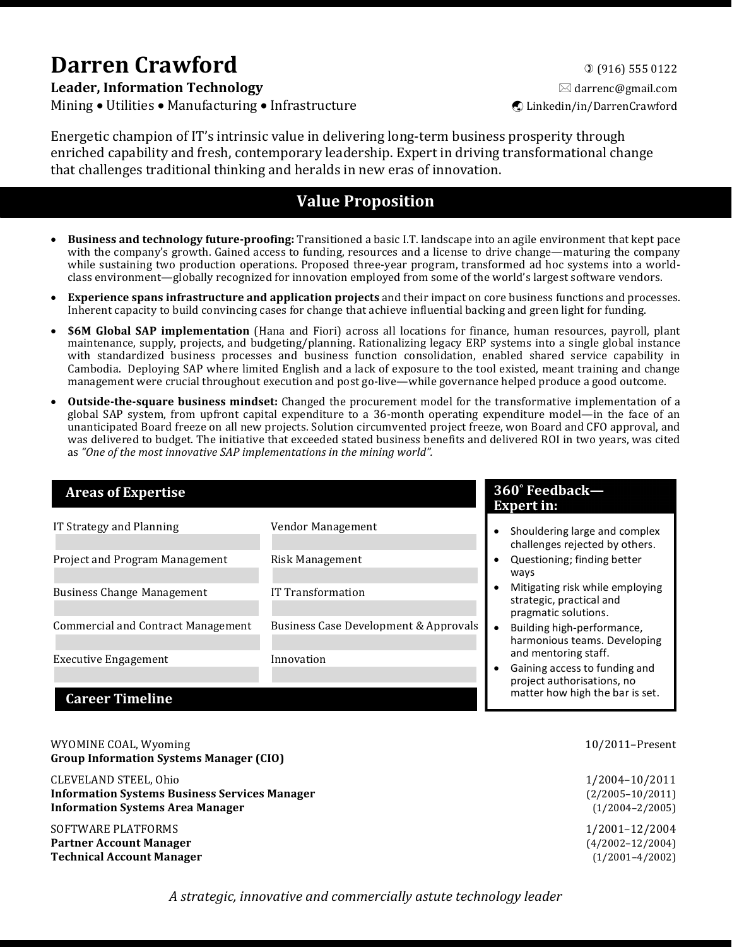# **Darren Crawford**  $\alpha$  (916) 555 0122

**Leader, Information Technology and the set of the set of the set of the set of the set of the set of the set of the set of the set of the set of the set of the set of the set of the set of the set of the set of the set** Mining • Utilities • Manufacturing • Infrastructure ý Linkedin/in/DarrenCrawford

Energetic champion of IT's intrinsic value in delivering long-term business prosperity through enriched capability and fresh, contemporary leadership. Expert in driving transformational change that challenges traditional thinking and heralds in new eras of innovation.

# **Value Proposition**

- **Business and technology future-proofing:** Transitioned a basic I.T. landscape into an agile environment that kept pace with the company's growth. Gained access to funding, resources and a license to drive change—maturing the company while sustaining two production operations. Proposed three-year program, transformed ad hoc systems into a worldclass environment—globally recognized for innovation employed from some of the world's largest software vendors.
- **Experience spans infrastructure and application projects** and their impact on core business functions and processes. Inherent capacity to build convincing cases for change that achieve influential backing and green light for funding.
- **\$6M Global SAP implementation** (Hana and Fiori) across all locations for finance, human resources, payroll, plant maintenance, supply, projects, and budgeting/planning. Rationalizing legacy ERP systems into a single global instance with standardized business processes and business function consolidation, enabled shared service capability in Cambodia. Deploying SAP where limited English and a lack of exposure to the tool existed, meant training and change management were crucial throughout execution and post go-live—while governance helped produce a good outcome.
- **Outside-the-square business mindset:** Changed the procurement model for the transformative implementation of a global SAP system, from upfront capital expenditure to a 36-month operating expenditure model—in the face of an unanticipated Board freeze on all new projects. Solution circumvented project freeze, won Board and CFO approval, and was delivered to budget. The initiative that exceeded stated business benefits and delivered ROI in two years, was cited as "One of the most innovative SAP implementations in the mining world".

| <b>Areas of Expertise</b>          |                                       | 360° Feedback—<br><b>Expert in:</b>                                                 |
|------------------------------------|---------------------------------------|-------------------------------------------------------------------------------------|
| IT Strategy and Planning           | Vendor Management                     | Shouldering large and complex<br>challenges rejected by others.                     |
| Project and Program Management     | Risk Management                       | Questioning; finding better<br>ways                                                 |
| <b>Business Change Management</b>  | IT Transformation                     | Mitigating risk while employing<br>strategic, practical and<br>pragmatic solutions. |
| Commercial and Contract Management | Business Case Development & Approvals | Building high-performance,<br>harmonious teams. Developing                          |
| <b>Executive Engagement</b>        | Innovation                            | and mentoring staff.<br>Gaining access to funding and<br>project authorisations, no |
| <b>Career Timeline</b>             |                                       | matter how high the bar is set.                                                     |

| WYOMINE COAL, Wyoming<br><b>Group Information Systems Manager (CIO)</b> | 10/2011-Present      |
|-------------------------------------------------------------------------|----------------------|
| CLEVELAND STEEL, Ohio                                                   | 1/2004-10/2011       |
| <b>Information Systems Business Services Manager</b>                    | $(2/2005 - 10/2011)$ |
| <b>Information Systems Area Manager</b>                                 | $(1/2004 - 2/2005)$  |
| SOFTWARE PLATFORMS                                                      | 1/2001-12/2004       |
| <b>Partner Account Manager</b>                                          | $(4/2002 - 12/2004)$ |
| <b>Technical Account Manager</b>                                        | $(1/2001 - 4/2002)$  |

A strategic, innovative and commercially astute technology leader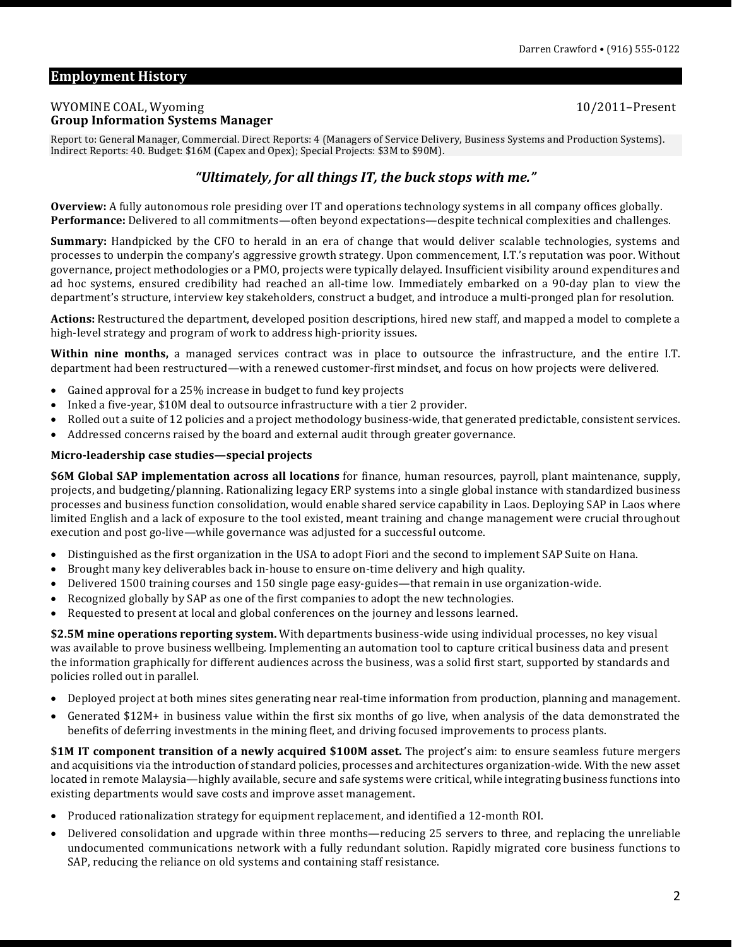# **Employment History**

#### WYOMINE COAL, Wyoming 2008 and the state of the state of the state of the state of the state of the state of the state of the state of the state of the state of the state of the state of the state of the state of the state **Group Information Systems Manager**

Report to: General Manager, Commercial. Direct Reports: 4 (Managers of Service Delivery, Business Systems and Production Systems). Indirect Reports: 40. Budget: \$16M (Capex and Opex); Special Projects: \$3M to \$90M).

# "Ultimately, for all things IT, the buck stops with me."

**Overview:** A fully autonomous role presiding over IT and operations technology systems in all company offices globally. **Performance:** Delivered to all commitments—often beyond expectations—despite technical complexities and challenges.

**Summary:** Handpicked by the CFO to herald in an era of change that would deliver scalable technologies, systems and processes to underpin the company's aggressive growth strategy. Upon commencement, I.T.'s reputation was poor. Without governance, project methodologies or a PMO, projects were typically delayed. Insufficient visibility around expenditures and ad hoc systems, ensured credibility had reached an all-time low. Immediately embarked on a 90-day plan to view the department's structure, interview key stakeholders, construct a budget, and introduce a multi-pronged plan for resolution.

**Actions:** Restructured the department, developed position descriptions, hired new staff, and mapped a model to complete a high-level strategy and program of work to address high-priority issues.

**Within nine months,** a managed services contract was in place to outsource the infrastructure, and the entire I.T. department had been restructured—with a renewed customer-first mindset, and focus on how projects were delivered.

- Gained approval for a 25% increase in budget to fund key projects
- Inked a five-year, \$10M deal to outsource infrastructure with a tier 2 provider.
- Rolled out a suite of 12 policies and a project methodology business-wide, that generated predictable, consistent services.
- Addressed concerns raised by the board and external audit through greater governance.

#### **Micro-leadership case studies—special projects**

**\$6M Global SAP implementation across all locations** for finance, human resources, payroll, plant maintenance, supply, projects, and budgeting/planning. Rationalizing legacy ERP systems into a single global instance with standardized business processes and business function consolidation, would enable shared service capability in Laos. Deploying SAP in Laos where limited English and a lack of exposure to the tool existed, meant training and change management were crucial throughout execution and post go-live—while governance was adjusted for a successful outcome.

- Distinguished as the first organization in the USA to adopt Fiori and the second to implement SAP Suite on Hana.
- Brought many key deliverables back in-house to ensure on-time delivery and high quality.
- Delivered 1500 training courses and 150 single page easy-guides—that remain in use organization-wide.
- Recognized globally by SAP as one of the first companies to adopt the new technologies.
- Requested to present at local and global conferences on the journey and lessons learned.

**\$2.5M** mine operations reporting system. With departments business-wide using individual processes, no key visual was available to prove business wellbeing. Implementing an automation tool to capture critical business data and present the information graphically for different audiences across the business, was a solid first start, supported by standards and policies rolled out in parallel.

- Deployed project at both mines sites generating near real-time information from production, planning and management.
- Generated \$12M+ in business value within the first six months of go live, when analysis of the data demonstrated the benefits of deferring investments in the mining fleet, and driving focused improvements to process plants.

\$1M IT component transition of a newly acquired \$100M asset. The project's aim: to ensure seamless future mergers and acquisitions via the introduction of standard policies, processes and architectures organization-wide. With the new asset located in remote Malaysia—highly available, secure and safe systems were critical, while integrating business functions into existing departments would save costs and improve asset management.

- Produced rationalization strategy for equipment replacement, and identified a 12-month ROI.
- Delivered consolidation and upgrade within three months—reducing 25 servers to three, and replacing the unreliable undocumented communications network with a fully redundant solution. Rapidly migrated core business functions to SAP, reducing the reliance on old systems and containing staff resistance.